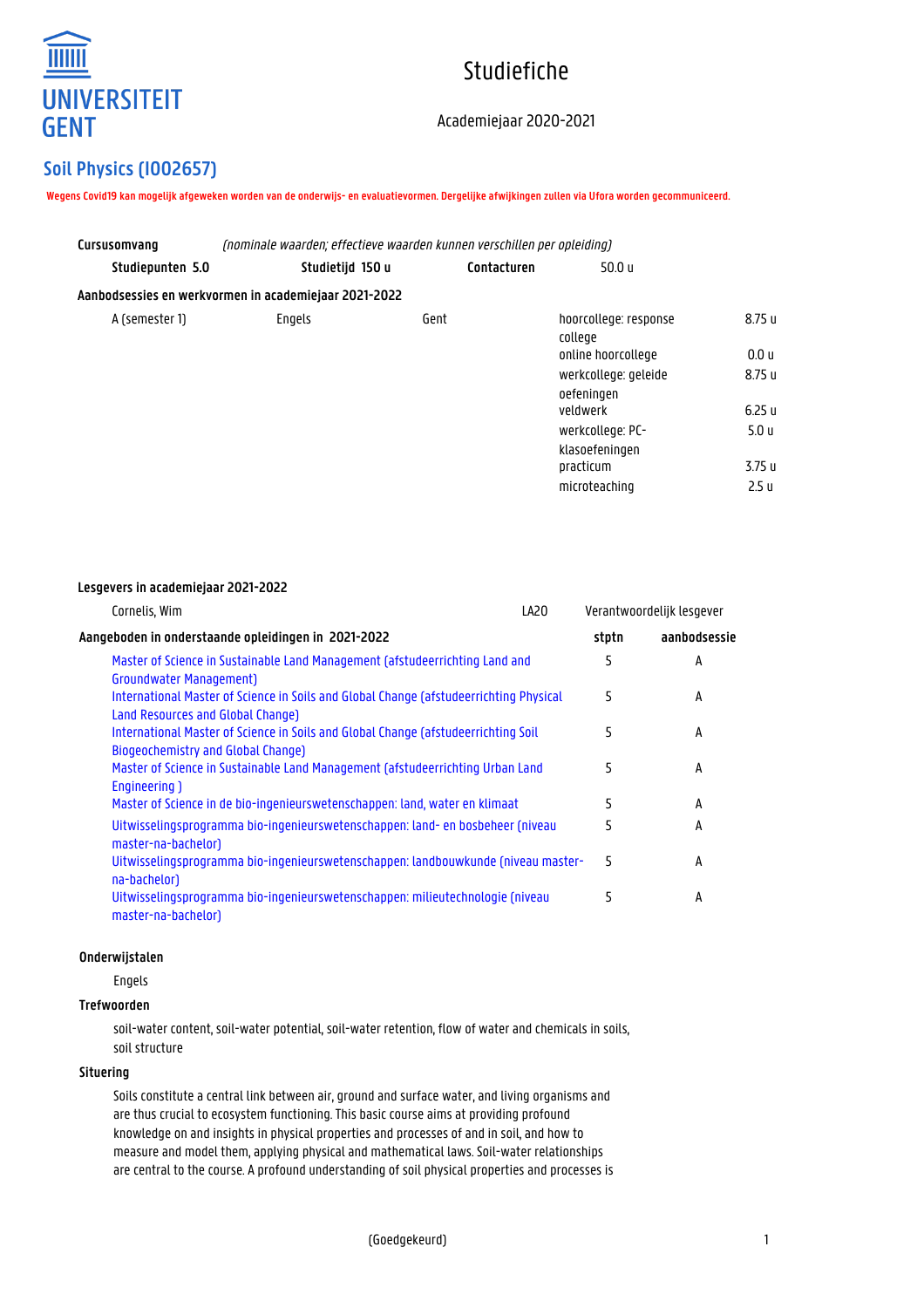

# Studiefiche

# Academiejaar 2020-2021

# **Soil Physics (I002657)**

**Wegens Covid19 kan mogelijk afgeweken worden van de onderwijs- en evaluatievormen. Dergelijke afwijkingen zullen via Ufora worden gecommuniceerd.**

| (nominale waarden; effectieve waarden kunnen verschillen per opleiding)<br>Cursusomvang |                                                       |             |                                    |                  |  |
|-----------------------------------------------------------------------------------------|-------------------------------------------------------|-------------|------------------------------------|------------------|--|
| Studiepunten 5.0                                                                        | Studietijd 150 u                                      | Contacturen | 50.0 u                             |                  |  |
|                                                                                         | Aanbodsessies en werkvormen in academiejaar 2021-2022 |             |                                    |                  |  |
| A (semester 1)                                                                          | Engels                                                | Gent        | hoorcollege: response<br>college   | 8.75 u           |  |
|                                                                                         |                                                       |             | online hoorcollege                 | 0.0 u            |  |
|                                                                                         |                                                       |             | werkcollege: geleide<br>oefeningen | 8.75 u           |  |
|                                                                                         |                                                       |             | veldwerk                           | 6.25u            |  |
|                                                                                         |                                                       |             | werkcollege: PC-<br>klasoefeningen | 5.0 <sub>u</sub> |  |
|                                                                                         |                                                       |             | practicum                          | 3.75 u           |  |
|                                                                                         |                                                       |             | microteaching                      | 2.5 <sub>u</sub> |  |

# **Lesgevers in academiejaar 2021-2022**

| LA20                                                                                   | Verantwoordelijk lesgever                                                      |              |
|----------------------------------------------------------------------------------------|--------------------------------------------------------------------------------|--------------|
|                                                                                        | stptn                                                                          | aanbodsessie |
| Master of Science in Sustainable Land Management (afstudeerrichting Land and           | 5                                                                              | A            |
|                                                                                        |                                                                                |              |
| International Master of Science in Soils and Global Change (afstudeerrichting Physical | 5                                                                              | А            |
|                                                                                        |                                                                                |              |
| International Master of Science in Soils and Global Change (afstudeerrichting Soil     | 5                                                                              | А            |
|                                                                                        |                                                                                |              |
|                                                                                        | 5                                                                              | A            |
|                                                                                        |                                                                                |              |
| Master of Science in de bio-ingenieurswetenschappen: land, water en klimaat            | 5                                                                              | A            |
| Uitwisselingsprogramma bio-ingenieurswetenschappen: land- en bosbeheer (niveau         | 5                                                                              | A            |
|                                                                                        |                                                                                |              |
| Uitwisselingsprogramma bio-ingenieurswetenschappen: landbouwkunde (niveau master-      | 5                                                                              | A            |
|                                                                                        |                                                                                |              |
| Uitwisselingsprogramma bio-ingenieurswetenschappen: milieutechnologie (niveau          | 5                                                                              | А            |
|                                                                                        |                                                                                |              |
|                                                                                        | Master of Science in Sustainable Land Management (afstudeerrichting Urban Land |              |

# **Onderwijstalen**

Engels

# **Trefwoorden**

soil-water content, soil-water potential, soil-water retention, flow of water and chemicals in soils, soil structure

# **Situering**

Soils constitute a central link between air, ground and surface water, and living organisms and are thus crucial to ecosystem functioning. This basic course aims at providing profound knowledge on and insights in physical properties and processes of and in soil, and how to measure and model them, applying physical and mathematical laws. Soil-water relationships are central to the course. A profound understanding of soil physical properties and processes is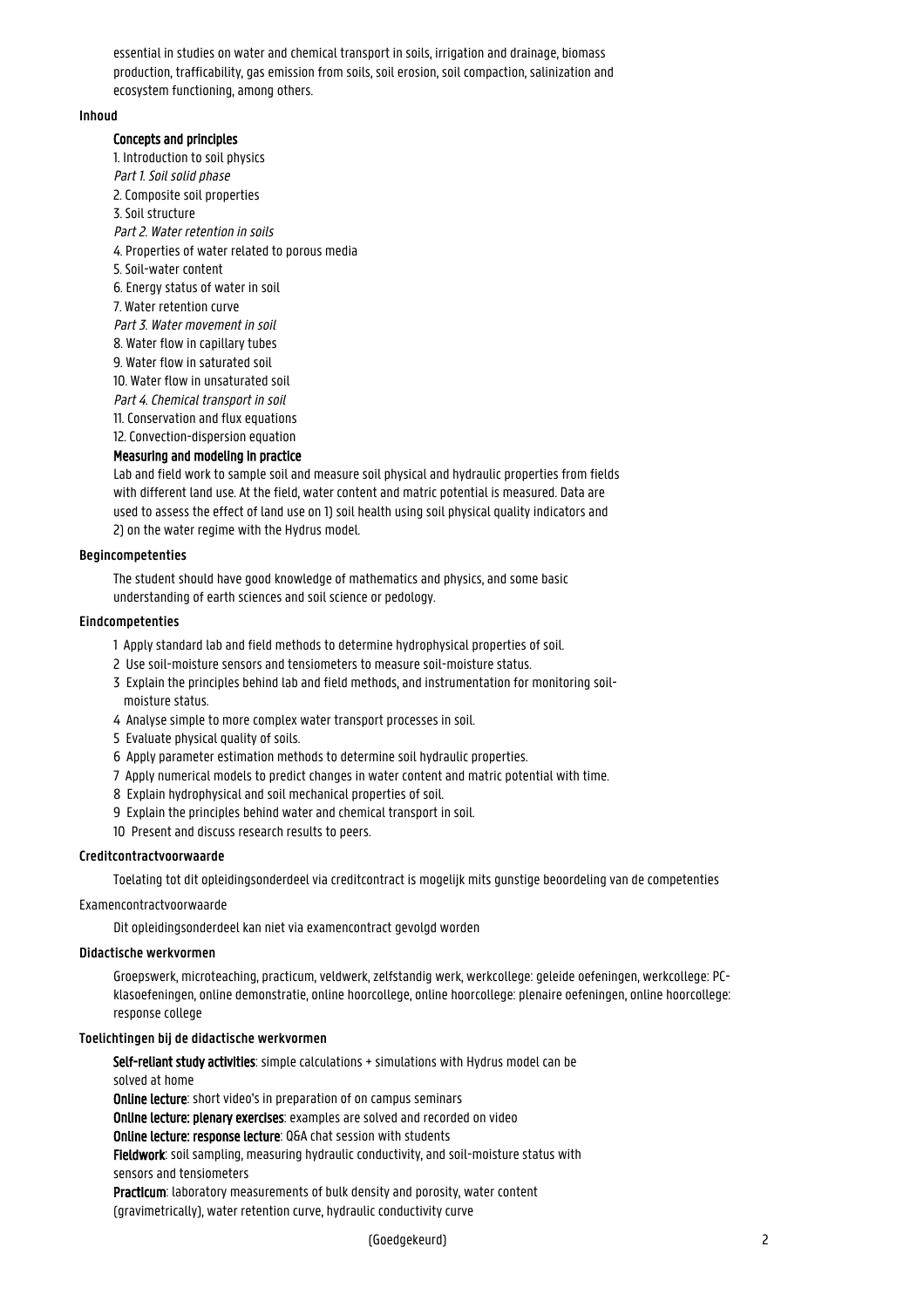essential in studies on water and chemical transport in soils, irrigation and drainage, biomass production, trafficability, gas emission from soils, soil erosion, soil compaction, salinization and ecosystem functioning, among others.

# **Inhoud**

#### Concepts and principles

1. Introduction to soil physics Part 1. Soil solid phase 2. Composite soil properties 3. Soil structure Part 2. Water retention in soils 4. Properties of water related to porous media 5. Soil-water content 6. Energy status of water in soil 7. Water retention curve Part 3. Water movement in soil 8. Water flow in capillary tubes 9. Water flow in saturated soil 10. Water flow in unsaturated soil Part 4. Chemical transport in soil 11. Conservation and flux equations 12. Convection-dispersion equation

# Measuring and modeling in practice

Lab and field work to sample soil and measure soil physical and hydraulic properties from fields with different land use. At the field, water content and matric potential is measured. Data are used to assess the effect of land use on 1) soil health using soil physical quality indicators and 2) on the water regime with the Hydrus model.

#### **Begincompetenties**

The student should have good knowledge of mathematics and physics, and some basic understanding of earth sciences and soil science or pedology.

#### **Eindcompetenties**

- 1 Apply standard lab and field methods to determine hydrophysical properties of soil.
- 2 Use soil-moisture sensors and tensiometers to measure soil-moisture status.
- 3 Explain the principles behind lab and field methods, and instrumentation for monitoring soilmoisture status.
- 4 Analyse simple to more complex water transport processes in soil.
- 5 Evaluate physical quality of soils.
- 6 Apply parameter estimation methods to determine soil hydraulic properties.
- 7 Apply numerical models to predict changes in water content and matric potential with time.
- 8 Explain hydrophysical and soil mechanical properties of soil.
- 9 Explain the principles behind water and chemical transport in soil.
- 10 Present and discuss research results to peers.

# **Creditcontractvoorwaarde**

Toelating tot dit opleidingsonderdeel via creditcontract is mogelijk mits gunstige beoordeling van de competenties

#### Examencontractvoorwaarde

Dit opleidingsonderdeel kan niet via examencontract gevolgd worden

#### **Didactische werkvormen**

Groepswerk, microteaching, practicum, veldwerk, zelfstandig werk, werkcollege: geleide oefeningen, werkcollege: PCklasoefeningen, online demonstratie, online hoorcollege, online hoorcollege: plenaire oefeningen, online hoorcollege: response college

# **Toelichtingen bij de didactische werkvormen**

Self-reliant study activities: simple calculations + simulations with Hydrus model can be

# solved at home

Online lecture: short video's in preparation of on campus seminars

Online lecture: plenary exercises: examples are solved and recorded on video

Online lecture: response lecture: Q&A chat session with students

Fieldwork: soil sampling, measuring hydraulic conductivity, and soil-moisture status with sensors and tensiometers

Practicum: laboratory measurements of bulk density and porosity, water content (gravimetrically), water retention curve, hydraulic conductivity curve